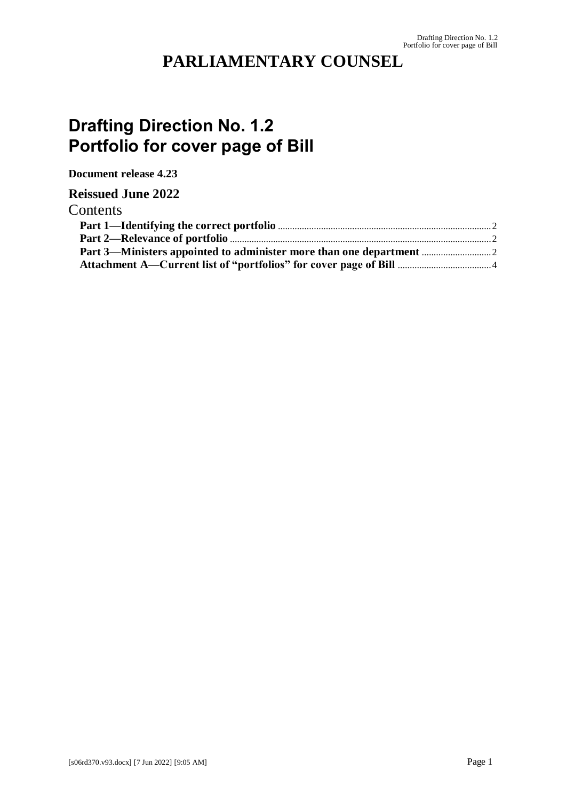## **PARLIAMENTARY COUNSEL**

# **Drafting Direction No. 1.2 Portfolio for cover page of Bill**

**Document release 4.23**

#### **Reissued June 2022**

#### Contents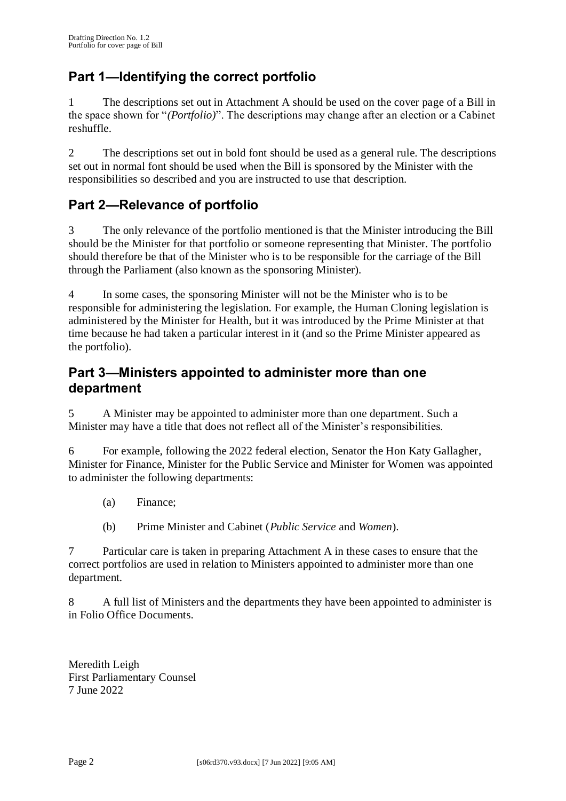### **Part 1—Identifying the correct portfolio**

1 The descriptions set out in Attachment A should be used on the cover page of a Bill in the space shown for "*(Portfolio)*". The descriptions may change after an election or a Cabinet reshuffle.

2 The descriptions set out in bold font should be used as a general rule. The descriptions set out in normal font should be used when the Bill is sponsored by the Minister with the responsibilities so described and you are instructed to use that description.

### **Part 2—Relevance of portfolio**

3 The only relevance of the portfolio mentioned is that the Minister introducing the Bill should be the Minister for that portfolio or someone representing that Minister. The portfolio should therefore be that of the Minister who is to be responsible for the carriage of the Bill through the Parliament (also known as the sponsoring Minister).

4 In some cases, the sponsoring Minister will not be the Minister who is to be responsible for administering the legislation. For example, the Human Cloning legislation is administered by the Minister for Health, but it was introduced by the Prime Minister at that time because he had taken a particular interest in it (and so the Prime Minister appeared as the portfolio).

#### **Part 3—Ministers appointed to administer more than one department**

5 A Minister may be appointed to administer more than one department. Such a Minister may have a title that does not reflect all of the Minister's responsibilities.

6 For example, following the 2022 federal election, Senator the Hon Katy Gallagher, Minister for Finance, Minister for the Public Service and Minister for Women was appointed to administer the following departments:

- (a) Finance;
- (b) Prime Minister and Cabinet (*Public Service* and *Women*).

7 Particular care is taken in preparing Attachment A in these cases to ensure that the correct portfolios are used in relation to Ministers appointed to administer more than one department.

8 A full list of Ministers and the departments they have been appointed to administer is in Folio Office Documents.

Meredith Leigh First Parliamentary Counsel 7 June 2022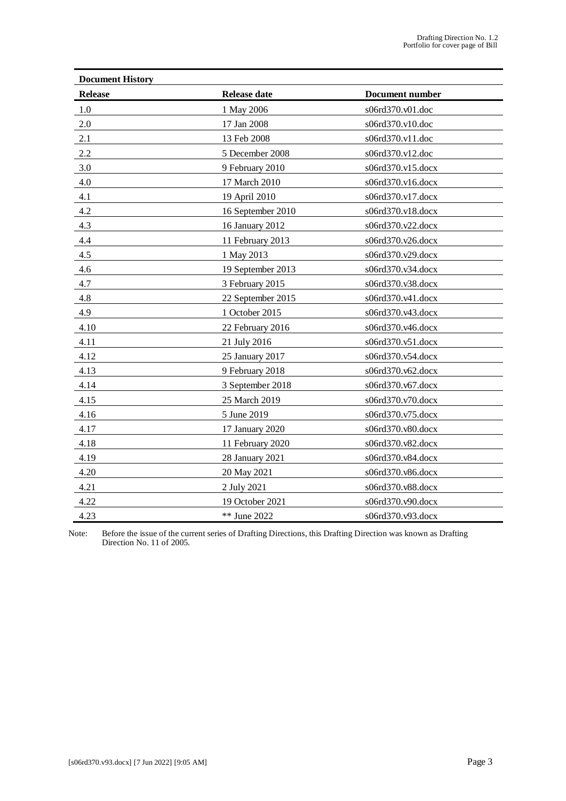| <b>Document History</b> |                     |                        |
|-------------------------|---------------------|------------------------|
| <b>Release</b>          | <b>Release date</b> | <b>Document number</b> |
| $1.0\,$                 | 1 May 2006          | s06rd370.v01.doc       |
| 2.0                     | 17 Jan 2008         | s06rd370.v10.doc       |
| 2.1                     | 13 Feb 2008         | s06rd370.v11.doc       |
| 2.2                     | 5 December 2008     | s06rd370.v12.doc       |
| 3.0                     | 9 February 2010     | s06rd370.v15.docx      |
| 4.0                     | 17 March 2010       | s06rd370.v16.docx      |
| 4.1                     | 19 April 2010       | s06rd370.v17.docx      |
| 4.2                     | 16 September 2010   | s06rd370.v18.docx      |
| 4.3                     | 16 January 2012     | s06rd370.v22.docx      |
| 4.4                     | 11 February 2013    | s06rd370.v26.docx      |
| 4.5                     | 1 May 2013          | s06rd370.v29.docx      |
| 4.6                     | 19 September 2013   | s06rd370.v34.docx      |
| 4.7                     | 3 February 2015     | s06rd370.v38.docx      |
| 4.8                     | 22 September 2015   | s06rd370.v41.docx      |
| 4.9                     | 1 October 2015      | s06rd370.v43.docx      |
| 4.10                    | 22 February 2016    | s06rd370.v46.docx      |
| 4.11                    | 21 July 2016        | s06rd370.v51.docx      |
| 4.12                    | 25 January 2017     | s06rd370.v54.docx      |
| 4.13                    | 9 February 2018     | s06rd370.v62.docx      |
| 4.14                    | 3 September 2018    | s06rd370.v67.docx      |
| 4.15                    | 25 March 2019       | s06rd370.v70.docx      |
| 4.16                    | 5 June 2019         | s06rd370.v75.docx      |
| 4.17                    | 17 January 2020     | s06rd370.v80.docx      |
| 4.18                    | 11 February 2020    | s06rd370.v82.docx      |
| 4.19                    | 28 January 2021     | s06rd370.v84.docx      |
| 4.20                    | 20 May 2021         | s06rd370.v86.docx      |
| 4.21                    | 2 July 2021         | s06rd370.v88.docx      |
| 4.22                    | 19 October 2021     | s06rd370.v90.docx      |
| 4.23                    | ** June 2022        | s06rd370.v93.docx      |

Note: Before the issue of the current series of Drafting Directions, this Drafting Direction was known as Drafting Direction No. 11 of 2005.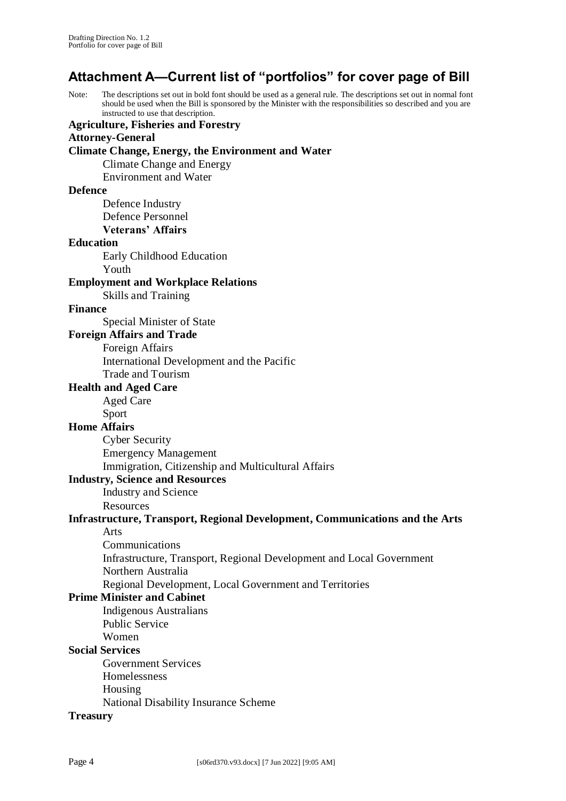## **Attachment A—Current list of "portfolios" for cover page of Bill**

Note: The descriptions set out in bold font should be used as a general rule. The descriptions set out in normal font should be used when the Bill is sponsored by the Minister with the responsibilities so described and you are instructed to use that description.

**Agriculture, Fisheries and Forestry Attorney-General Climate Change, Energy, the Environment and Water** Climate Change and Energy Environment and Water **Defence** Defence Industry Defence Personnel **Veterans' Affairs Education** Early Childhood Education Youth **Employment and Workplace Relations** Skills and Training **Finance** Special Minister of State **Foreign Affairs and Trade** Foreign Affairs International Development and the Pacific Trade and Tourism **Health and Aged Care** Aged Care Sport **Home Affairs** Cyber Security Emergency Management Immigration, Citizenship and Multicultural Affairs **Industry, Science and Resources** Industry and Science Resources **Infrastructure, Transport, Regional Development, Communications and the Arts** Arts Communications Infrastructure, Transport, Regional Development and Local Government Northern Australia Regional Development, Local Government and Territories **Prime Minister and Cabinet** Indigenous Australians Public Service Women **Social Services** Government Services Homelessness Housing National Disability Insurance Scheme **Treasury**